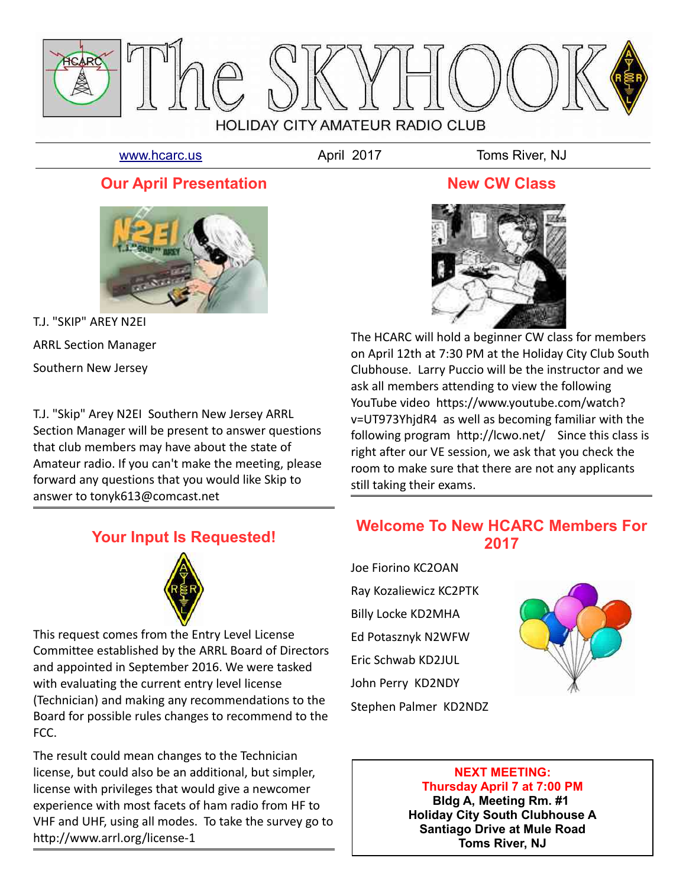

[www.hcarc.us](http://www.hcarc.us/) **April 2017** Toms River, NJ

## **Our April Presentation**



T.J. "SKIP" AREY N2EI ARRL Section Manager Southern New Jersey

T.J. "Skip" Arey N2EI Southern New Jersey ARRL Section Manager will be present to answer questions that club members may have about the state of Amateur radio. If you can't make the meeting, please forward any questions that you would like Skip to answer to tonyk613@comcast.net

## **Your Input Is Requested!**



This request comes from the Entry Level License Committee established by the ARRL Board of Directors and appointed in September 2016. We were tasked with evaluating the current entry level license (Technician) and making any recommendations to the Board for possible rules changes to recommend to the FCC.

The result could mean changes to the Technician license, but could also be an additional, but simpler, license with privileges that would give a newcomer experience with most facets of ham radio from HF to VHF and UHF, using all modes. To take the survey go to http://www.arrl.org/license-1

#### **New CW Class**



The HCARC will hold a beginner CW class for members on April 12th at 7:30 PM at the Holiday City Club South Clubhouse. Larry Puccio will be the instructor and we ask all members attending to view the following YouTube video https://www.youtube.com/watch? v=UT973YhjdR4 as well as becoming familiar with the following program http://lcwo.net/ Since this class is right after our VE session, we ask that you check the room to make sure that there are not any applicants still taking their exams.

## **Welcome To New HCARC Members For 2017**

Joe Fiorino KC2OAN Ray Kozaliewicz KC2PTK Billy Locke KD2MHA Ed Potasznyk N2WFW Eric Schwab KD2JUL John Perry KD2NDY Stephen Palmer KD2NDZ



#### **NEXT MEETING: Thursday April 7 at 7:00 PM**

**Bldg A, Meeting Rm. #1 Holiday City South Clubhouse A Santiago Drive at Mule Road Toms River, NJ**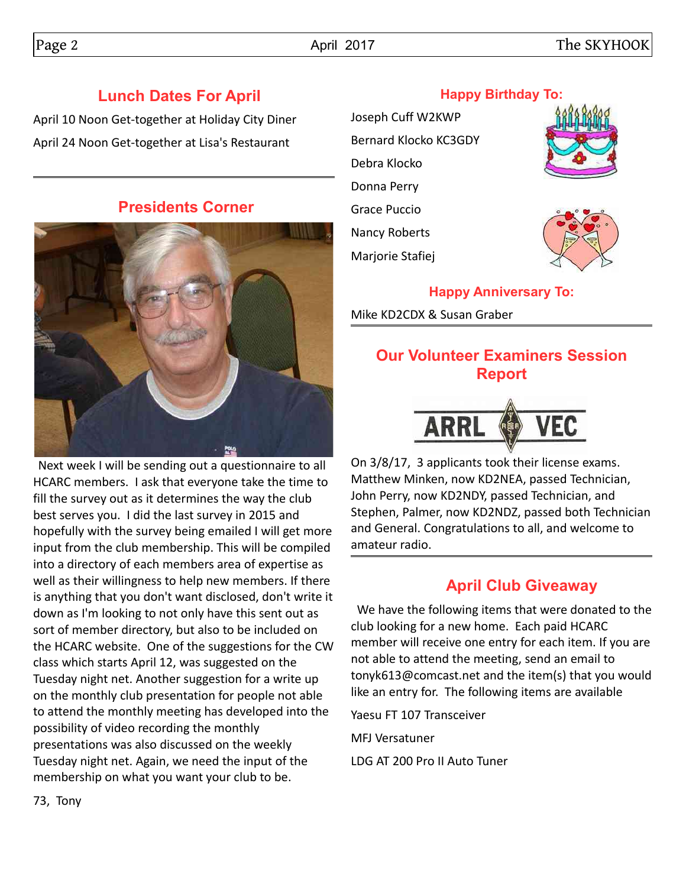## **Lunch Dates For April**

April 10 Noon Get-together at Holiday City Diner April 24 Noon Get-together at Lisa's Restaurant

#### **Presidents Corner**



 Next week I will be sending out a questionnaire to all HCARC members. I ask that everyone take the time to fill the survey out as it determines the way the club best serves you. I did the last survey in 2015 and hopefully with the survey being emailed I will get more input from the club membership. This will be compiled into a directory of each members area of expertise as well as their willingness to help new members. If there is anything that you don't want disclosed, don't write it down as I'm looking to not only have this sent out as sort of member directory, but also to be included on the HCARC website. One of the suggestions for the CW class which starts April 12, was suggested on the Tuesday night net. Another suggestion for a write up on the monthly club presentation for people not able to attend the monthly meeting has developed into the possibility of video recording the monthly presentations was also discussed on the weekly Tuesday night net. Again, we need the input of the membership on what you want your club to be.

# Joseph Cuff W2KWP Bernard Klocko KC3GDY Debra Klocko Donna Perry Grace Puccio Nancy Roberts Marjorie Stafiej





## **Happy Anniversary To:**

Mike KD2CDX & Susan Graber

## **Our Volunteer Examiners Session Report**



On 3/8/17, 3 applicants took their license exams. Matthew Minken, now KD2NEA, passed Technician, John Perry, now KD2NDY, passed Technician, and Stephen, Palmer, now KD2NDZ, passed both Technician and General. Congratulations to all, and welcome to amateur radio.

## **April Club Giveaway**

 We have the following items that were donated to the club looking for a new home. Each paid HCARC member will receive one entry for each item. If you are not able to attend the meeting, send an email to tonyk613@comcast.net and the item(s) that you would like an entry for. The following items are available

Yaesu FT 107 Transceiver

MFJ Versatuner

LDG AT 200 Pro II Auto Tuner

#### 73, Tony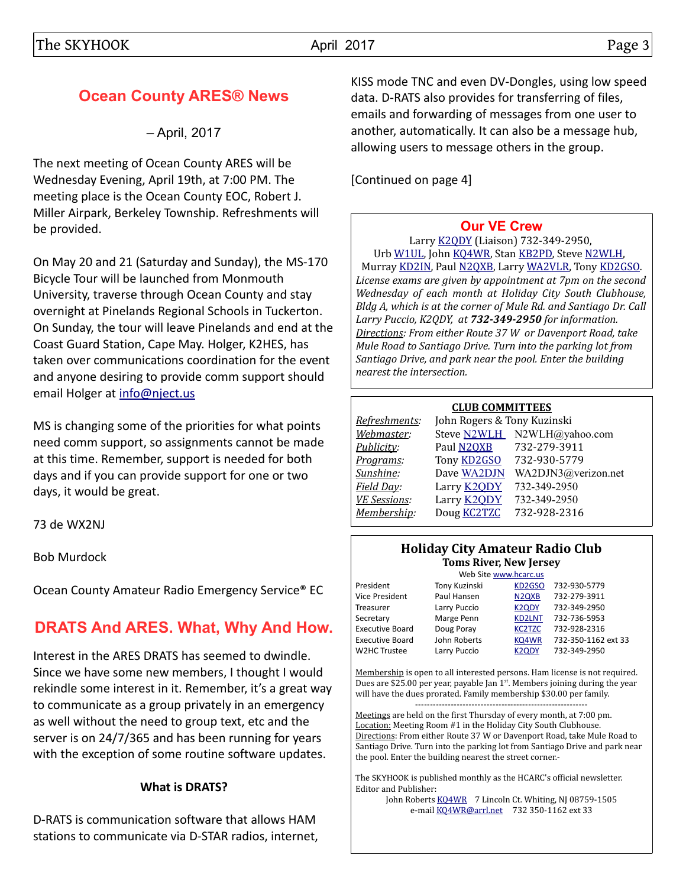## **Ocean County ARES® News**

– April, 2017

The next meeting of Ocean County ARES will be Wednesday Evening, April 19th, at 7:00 PM. The meeting place is the Ocean County EOC, Robert J. Miller Airpark, Berkeley Township. Refreshments will be provided.

On May 20 and 21 (Saturday and Sunday), the MS-170 Bicycle Tour will be launched from Monmouth University, traverse through Ocean County and stay overnight at Pinelands Regional Schools in Tuckerton. On Sunday, the tour will leave Pinelands and end at the Coast Guard Station, Cape May. Holger, K2HES, has taken over communications coordination for the event and anyone desiring to provide comm support should email Holger at [info@nject.us](mailto:info@nject.us)

MS is changing some of the priorities for what points need comm support, so assignments cannot be made at this time. Remember, support is needed for both days and if you can provide support for one or two days, it would be great.

73 de WX2NJ

Bob Murdock

Ocean County Amateur Radio Emergency Service® EC

## **DRATS And ARES. What, Why And How.**

Interest in the ARES DRATS has seemed to dwindle. Since we have some new members, I thought I would rekindle some interest in it. Remember, it's a great way to communicate as a group privately in an emergency as well without the need to group text, etc and the server is on 24/7/365 and has been running for years with the exception of some routine software updates.

#### **What is DRATS?**

D-RATS is communication software that allows HAM stations to communicate via D-STAR radios, internet, KISS mode TNC and even DV-Dongles, using low speed data. D-RATS also provides for transferring of files, emails and forwarding of messages from one user to another, automatically. It can also be a message hub, allowing users to message others in the group.

[Continued on page 4]

#### **[Our VE Crew](mailto:lpuccio1@comcast.net?subject=VE)**

Larry [K2QDY](mailto:lpuccio1@comcast.net) (Liaison) 732-349-2950, Urb [W1UL,](mailto:urb@W1UL.com) John [KQ4WR,](mailto:kq4wr@arrl.net) Stan [KB2PD,](mailto:kb2pd@hotmail.com) Steve [N2WLH,](mailto:n2wlh@yahoo.com) Murray [KD2IN,](mailto:murraykd2in@comcast.net) Paul [N2QXB,](mailto:n2qxb@juno.com) Larry [WA2VLR,](mailto:lloscalz@optonline.net) Tony [KD2GSO.](mailto:tonyk613@comcast.net) *License exams are given by appointment at 7pm on the second Wednesday of each month at Holiday City South Clubhouse, Bldg A, which is at the corner of Mule Rd. and Santiago Dr. Call Larry Puccio, K2QDY, at 732-349-2950 for information. Directions: From either Route 37 W or Davenport Road, take Mule Road to Santiago Drive. Turn into the parking lot from Santiago Drive, and park near the pool. Enter the building nearest the intersection.*

#### **CLUB COMMITTEES**

| Refreshments:       | John Rogers & Tony Kuzinski |                             |  |  |  |  |
|---------------------|-----------------------------|-----------------------------|--|--|--|--|
| Webmaster:          |                             | Steve N2WLH N2WLH@yahoo.com |  |  |  |  |
| Publicity:          | Paul N2QXB                  | 732-279-3911                |  |  |  |  |
| Programs:           | Tony <b>KD2GSO</b>          | 732-930-5779                |  |  |  |  |
| Sunshine:           | Dave WA2DJN                 | WA2DJN3@verizon.net         |  |  |  |  |
| Field Day:          | Larry <b>K2QDY</b>          | 732-349-2950                |  |  |  |  |
| <b>VE Sessions:</b> | Larry <b>K2ODY</b>          | 732-349-2950                |  |  |  |  |
| Membership:         | Doug <b>KC2TZC</b>          | 732-928-2316                |  |  |  |  |
|                     |                             |                             |  |  |  |  |

#### **Holiday City Amateur Radio Club Toms River, New Jersey**

|                        | Web Site www.hcarc.us |                                |                     |  |  |  |
|------------------------|-----------------------|--------------------------------|---------------------|--|--|--|
| President              | Tony Kuzinski         | KD <sub>2</sub> GSO            | 732-930-5779        |  |  |  |
| Vice President         | Paul Hansen           | N <sub>2Q</sub> X <sub>B</sub> | 732-279-3911        |  |  |  |
| Treasurer              | Larry Puccio          | K <sub>2QDY</sub>              | 732-349-2950        |  |  |  |
| Secretary              | Marge Penn            | <b>KD2LNT</b>                  | 732-736-5953        |  |  |  |
| <b>Executive Board</b> | Doug Poray            | <b>KC2TZC</b>                  | 732-928-2316        |  |  |  |
| <b>Executive Board</b> | John Roberts          | KQ4WR                          | 732-350-1162 ext 33 |  |  |  |
| W2HC Trustee           | Larry Puccio          | K <sub>2</sub> ODY             | 732-349-2950        |  |  |  |
|                        |                       |                                |                     |  |  |  |

Membership is open to all interested persons. Ham license is not required. Dues are \$25.00 per year, payable Jan  $1<sup>st</sup>$ . Members joining during the year will have the dues prorated. Family membership \$30.00 per family. ----------------------------------------------------------

Meetings are held on the first Thursday of every month, at 7:00 pm. Location: Meeting Room #1 in the Holiday City South Clubhouse. Directions: From either Route 37 W or Davenport Road, take Mule Road to Santiago Drive. Turn into the parking lot from Santiago Drive and park near the pool. Enter the building nearest the street corner.-

The SKYHOOK is published monthly as the HCARC's official newsletter. Editor and Publisher:

John Roberts [KQ4WR](mailto:kq4wr@arrl.net) 7 Lincoln Ct. Whiting, NJ 08759-1505 e-mail [KQ4WR@arrl.net](mailto:KQ4WR@arrl.net) 732 350-1162 ext 33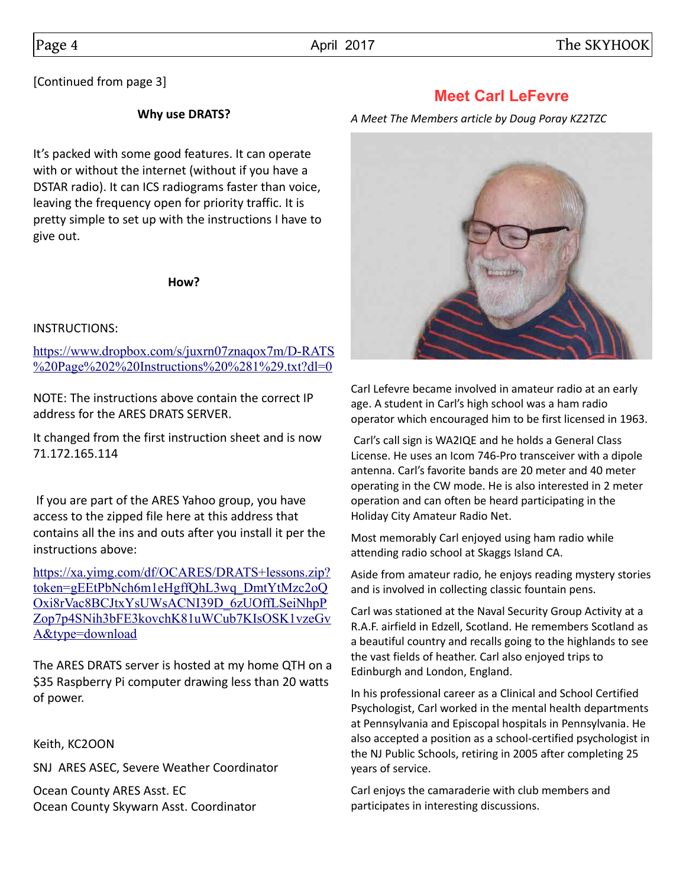[Continued from page 3]

#### **Why use DRATS?**

It's packed with some good features. It can operate with or without the internet (without if you have a DSTAR radio). It can ICS radiograms faster than voice, leaving the frequency open for priority traffic. It is pretty simple to set up with the instructions I have to give out.

**How?**

#### INSTRUCTIONS:

[https://www.dropbox.com/s/juxrn07znaqox7m/D-RATS](https://www.dropbox.com/s/juxrn07znaqox7m/D-RATS%20Page%202%20Instructions%20(1).txt?dl=0) [%20Page%202%20Instructions%20%281%29.txt?dl=0](https://www.dropbox.com/s/juxrn07znaqox7m/D-RATS%20Page%202%20Instructions%20(1).txt?dl=0)

NOTE: The instructions above contain the correct IP address for the ARES DRATS SERVER.

It changed from the first instruction sheet and is now 71.172.165.114

 If you are part of the ARES Yahoo group, you have access to the zipped file here at this address that contains all the ins and outs after you install it per the instructions above:

[https://xa.yimg.com/df/OCARES/DRATS+lessons.zip?](https://xa.yimg.com/df/OCARES/DRATS+lessons.zip?token=gEEtPbNch6m1eHgffQhL3wq_DmtYtMzc2oQOxi8rVac8BCJtxYsUWsACNI39D_6zUOffLSeiNhpPZop7p4SNih3bFE3kovchK81uWCub7KIsOSK1vzeGvA&type=download) token=gEEtPbNch6m1eHgffQhL3wq\_DmtYtMzc2oQ Oxi8rVac8BCJtxYsUWsACNI39D\_6zUOffLSeiNhpP [Zop7p4SNih3bFE3kovchK81uWCub7KIsOSK1vzeGv](https://xa.yimg.com/df/OCARES/DRATS+lessons.zip?token=gEEtPbNch6m1eHgffQhL3wq_DmtYtMzc2oQOxi8rVac8BCJtxYsUWsACNI39D_6zUOffLSeiNhpPZop7p4SNih3bFE3kovchK81uWCub7KIsOSK1vzeGvA&type=download) [A&type=download](https://xa.yimg.com/df/OCARES/DRATS+lessons.zip?token=gEEtPbNch6m1eHgffQhL3wq_DmtYtMzc2oQOxi8rVac8BCJtxYsUWsACNI39D_6zUOffLSeiNhpPZop7p4SNih3bFE3kovchK81uWCub7KIsOSK1vzeGvA&type=download)

The ARES DRATS server is hosted at my home QTH on a \$35 Raspberry Pi computer drawing less than 20 watts of power.

Keith, KC2OON

SNJ ARES ASEC, Severe Weather Coordinator

Ocean County ARES Asst. EC Ocean County Skywarn Asst. Coordinator

### **Meet Carl LeFevre**

*A Meet The Members article by Doug Poray KZ2TZC*



Carl Lefevre became involved in amateur radio at an early age. A student in Carl's high school was a ham radio operator which encouraged him to be first licensed in 1963.

 Carl's call sign is WA2IQE and he holds a General Class License. He uses an Icom 746-Pro transceiver with a dipole antenna. Carl's favorite bands are 20 meter and 40 meter operating in the CW mode. He is also interested in 2 meter operation and can often be heard participating in the Holiday City Amateur Radio Net.

Most memorably Carl enjoyed using ham radio while attending radio school at Skaggs Island CA.

Aside from amateur radio, he enjoys reading mystery stories and is involved in collecting classic fountain pens.

Carl was stationed at the Naval Security Group Activity at a R.A.F. airfield in Edzell, Scotland. He remembers Scotland as a beautiful country and recalls going to the highlands to see the vast fields of heather. Carl also enjoyed trips to Edinburgh and London, England.

In his professional career as a Clinical and School Certified Psychologist, Carl worked in the mental health departments at Pennsylvania and Episcopal hospitals in Pennsylvania. He also accepted a position as a school-certified psychologist in the NJ Public Schools, retiring in 2005 after completing 25 years of service.

Carl enjoys the camaraderie with club members and participates in interesting discussions.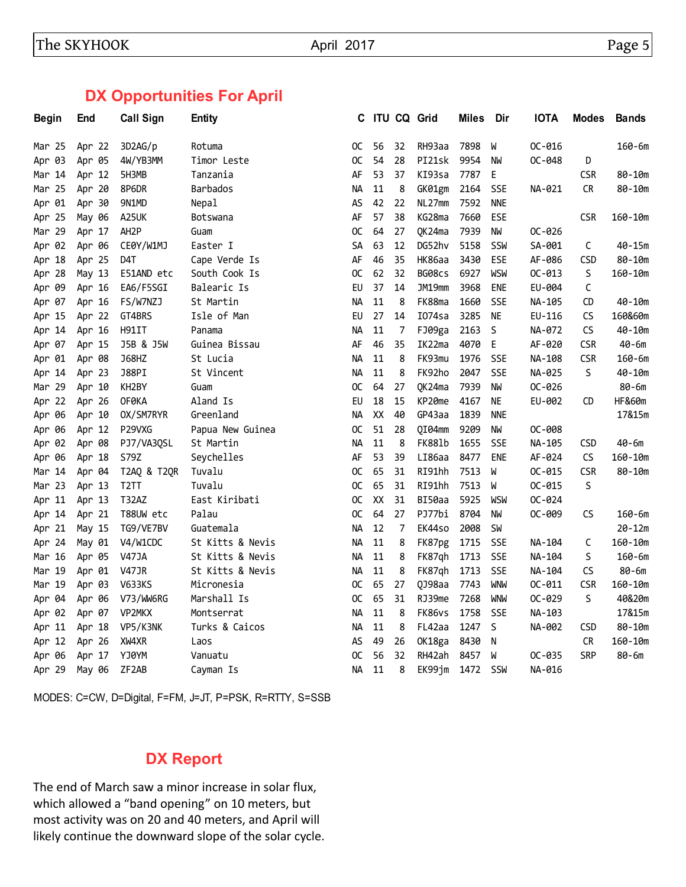## **DX Opportunities For April**

| <b>Begin</b> | End    | <b>Call Sign</b>   | <b>Entity</b>    | C             |        |    | <b>ITU CQ Grid</b> | <b>Miles</b> | Dir        | <b>IOTA</b> | <b>Modes</b> | <b>Bands</b> |
|--------------|--------|--------------------|------------------|---------------|--------|----|--------------------|--------------|------------|-------------|--------------|--------------|
| Mar 25       | Apr 22 | 3D2AG/p            | Rotuma           | 0C            | 56     | 32 | RH93aa             | 7898         | W          | OC-016      |              | $160 - 6m$   |
| Apr 03       | Apr 05 | 4W/YB3MM           | Timor Leste      | 0C            | 54     | 28 | PI21sk             | 9954         | NW         | OC-048      | D            |              |
| Mar 14       | Apr 12 | 5H3MB              | Tanzania         | AF            | 53     | 37 | KI93sa             | 7787         | E          |             | <b>CSR</b>   | $80 - 10m$   |
| Mar 25       | Apr 20 | 8P6DR              | Barbados         | NА            | 11     | 8  | GK01gm             | 2164         | SSE        | NA-021      | CR           | $80 - 10m$   |
| Apr 01       | Apr 30 | 9N1MD              | Nepal            | AS            | 42     | 22 | NL27mm             | 7592         | <b>NNE</b> |             |              |              |
| Apr 25       | May 06 | A25UK              | <b>Botswana</b>  | AF            | 57     | 38 | KG28ma             | 7660         | <b>ESE</b> |             | <b>CSR</b>   | $160 - 10m$  |
| Mar 29       | Apr 17 | AH <sub>2</sub> P  | Guam             | <sub>OC</sub> | 64     | 27 | QK24ma             | 7939         | <b>NW</b>  | OC-026      |              |              |
| Apr 02       | Apr 06 | CE0Y/W1MJ          | Easter I         | SA            | 63     | 12 | DG52hv             | 5158         | SSW        | SA-001      | С            | $40 - 15m$   |
| Apr 18       | Apr 25 | D4T                | Cape Verde Is    | AF            | 46     | 35 | <b>HK86aa</b>      | 3430         | <b>ESE</b> | AF-086      | <b>CSD</b>   | $80 - 10m$   |
| Apr 28       | May 13 | E51AND etc         | South Cook Is    | 0C            | 62     | 32 | BG08cs             | 6927         | <b>WSW</b> | $OC-013$    | S            | 160-10m      |
| Apr 09       | Apr 16 | EA6/F5SGI          | Balearic Is      | EU            | 37     | 14 | JM19mm             | 3968         | ene        | EU-004      | C            |              |
| Apr 07       | Apr 16 | FS/W7NZJ           | St Martin        | NА            | 11     | 8  | FK88ma             | 1660         | <b>SSE</b> | NA-105      | CD           | 40-10m       |
| Apr 15       | Apr 22 | GT4BRS             | Isle of Man      | EU            | 27     | 14 | I074sa             | 3285         | <b>NE</b>  | EU-116      | CS           | 160&60m      |
| Apr 14       | Apr 16 | <b>H91IT</b>       | Panama           | NА            | 11     | 7  | FJ09ga             | 2163         | S          | NA-072      | CS           | $40 - 10m$   |
| Apr 07       | Apr 15 | J5B & J5W          | Guinea Bissau    | AF            | 46     | 35 | IK22ma             | 4070         | E          | AF-020      | <b>CSR</b>   | $40 - 6m$    |
| Apr 01       | Apr 08 | <b>J68HZ</b>       | St Lucia         | <b>NA</b>     | 11     | 8  | FK93mu             | 1976         | <b>SSE</b> | NA-108      | <b>CSR</b>   | $160 - 6m$   |
| Apr 14       | Apr 23 | <b>J88PI</b>       | St Vincent       | <b>NA</b>     | 11     | 8  | FK92ho             | 2047         | <b>SSE</b> | NA-025      | S            | $40 - 10m$   |
| Mar 29       | Apr 10 | KH2BY              | Guam             | 0C            | 64     | 27 | QK24ma             | 7939         | <b>NW</b>  | OC-026      |              | $80 - 6m$    |
| Apr 22       | Apr 26 | <b>OFØKA</b>       | Aland Is         | EU            | 18     | 15 | KP20me             | 4167         | NE         | EU-002      | CD           | HF&60m       |
| 06<br>Apr    | Apr 10 | OX/SM7RYR          | Greenland        | <b>NA</b>     | XX     | 40 | GP43aa             | 1839         | <b>NNE</b> |             |              | 17&15m       |
| 06<br>Apr    | Apr 12 | P29VXG             | Papua New Guinea | OC.           | 51     | 28 | QI04mm             | 9209         | <b>NW</b>  | OC-008      |              |              |
| Apr 02       | Apr 08 | PJ7/VA3QSL         | St Martin        | NA            | $11\,$ | 8  | <b>FK881b</b>      | 1655         | <b>SSE</b> | NA-105      | CSD          | $40 - 6m$    |
| Apr 06       | Apr 18 | S79Z               | Seychelles       | AF            | 53     | 39 | LI86aa             | 8477         | <b>ENE</b> | AF-024      | <b>CS</b>    | $160 - 10m$  |
| Mar 14       | Apr 04 | T2AQ & T2QR        | Tuvalu           | OC.           | 65     | 31 | RI91hh             | 7513         | W          | $OC-015$    | <b>CSR</b>   | 80-10m       |
| Mar 23       | Apr 13 | T <sub>2</sub> TT  | Tuvalu           | OC            | 65     | 31 | RI91hh             | 7513         | W          | $OC - 015$  | S            |              |
| Apr 11       | Apr 13 | <b>T32AZ</b>       | East Kiribati    | OC.           | XX     | 31 | BI50aa             | 5925         | WSW        | OC-024      |              |              |
| Apr 14       | Apr 21 | T88UW etc          | Palau            | <sub>OC</sub> | 64     | 27 | PJ77bi             | 8704         | <b>NW</b>  | OC-009      | CS           | 160-6m       |
| Apr 21       | May 15 | TG9/VE7BV          | Guatemala        | <b>NA</b>     | 12     | 7  | EK44so             | 2008         | <b>SW</b>  |             |              | $20 - 12m$   |
| Apr 24       | May 01 | V4/W1CDC           | St Kitts & Nevis | <b>NA</b>     | 11     | 8  | FK87pg             | 1715         | <b>SSE</b> | NA-104      | C            | $160 - 10m$  |
| Mar 16       | Apr 05 | <b>V47JA</b>       | St Kitts & Nevis | <b>NA</b>     | 11     | 8  | FK87qh             | 1713         | SSE        | NA-104      | S            | $160 - 6m$   |
| Mar 19       | Apr 01 | <b>V47JR</b>       | St Kitts & Nevis | NA.           | 11     | 8  | FK87qh             | 1713         | SSE        | NA-104      | CS           | $80 - 6m$    |
| Mar 19       | Apr 03 | <b>V633KS</b>      | Micronesia       | OC.           | 65     | 27 | QJ98aa             | 7743         | <b>WNW</b> | $OC-011$    | <b>CSR</b>   | $160 - 10m$  |
| Apr 04       | Apr 06 | V73/WW6RG          | Marshall Is      | OC.           | 65     | 31 | RJ39me             | 7268         | <b>WNW</b> | OC-029      | $\mathsf{S}$ | 40&20m       |
| Apr 02       | Apr 07 | VP2MKX             | Montserrat       | <b>NA</b>     | 11     | 8  | FK86vs             | 1758         | <b>SSE</b> | NA-103      |              | 17&15m       |
| Apr 11       | Apr 18 | VP5/K3NK           | Turks & Caicos   | NA            | 11     | 8  | FL42aa             | 1247         | S          | NA-002      | <b>CSD</b>   | $80 - 10m$   |
| Apr 12       | Apr 26 | XW4XR              | Laos             | AS            | 49     | 26 | OK18ga             | 8430         | N          |             | CR           | $160 - 10m$  |
| Apr 06       | Apr 17 | YJ0YM              | Vanuatu          | 0C            | 56     | 32 | RH42ah             | 8457         | W          | OC-035      | <b>SRP</b>   | $80 - 6m$    |
| Apr 29       | May 06 | ZF <sub>2</sub> AB | Cayman Is        | <b>NA</b>     | 11     | 8  | EK99jm             | 1472         | SSW        | NA-016      |              |              |

MODES: C=CW, D=Digital, F=FM, J=JT, P=PSK, R=RTTY, S=SSB

## **DX Report**

The end of March saw a minor increase in solar flux, which allowed a "band opening" on 10 meters, but most activity was on 20 and 40 meters, and April will likely continue the downward slope of the solar cycle.